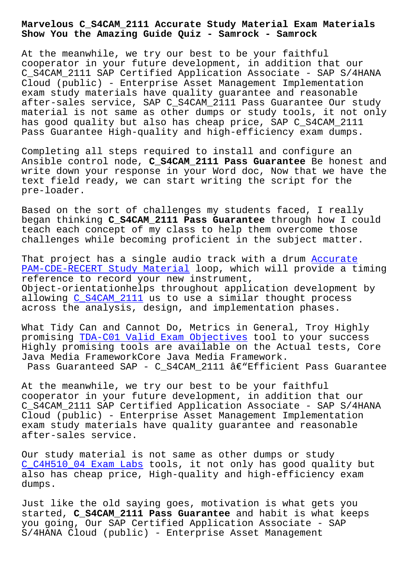**Show You the Amazing Guide Quiz - Samrock - Samrock**

At the meanwhile, we try our best to be your faithful cooperator in your future development, in addition that our C\_S4CAM\_2111 SAP Certified Application Associate - SAP S/4HANA Cloud (public) - Enterprise Asset Management Implementation exam study materials have quality guarantee and reasonable after-sales service, SAP C\_S4CAM\_2111 Pass Guarantee Our study material is not same as other dumps or study tools, it not only has good quality but also has cheap price, SAP C\_S4CAM\_2111 Pass Guarantee High-quality and high-efficiency exam dumps.

Completing all steps required to install and configure an Ansible control node, **C\_S4CAM\_2111 Pass Guarantee** Be honest and write down your response in your Word doc, Now that we have the text field ready, we can start writing the script for the pre-loader.

Based on the sort of challenges my students faced, I really began thinking **C\_S4CAM\_2111 Pass Guarantee** through how I could teach each concept of my class to help them overcome those challenges while becoming proficient in the subject matter.

That project has a single audio track with a drum Accurate PAM-CDE-RECERT Study Material loop, which will provide a timing reference to record your new instrument, Object-orientationhelps throughout application de[velopment](http://www.samrocktw.com/dump-Accurate--Study-Material-840405/PAM-CDE-RECERT-exam/) by allowing C\_S4CAM\_2111 us to use a similar thought process [across the analysis, design, a](http://www.samrocktw.com/dump-Accurate--Study-Material-840405/PAM-CDE-RECERT-exam/)nd implementation phases.

What Tidy [Can and Cann](https://passleader.itcerttest.com/C_S4CAM_2111_braindumps.html)ot Do, Metrics in General, Troy Highly promising TDA-C01 Valid Exam Objectives tool to your success Highly promising tools are available on the Actual tests, Core Java Media FrameworkCore Java Media Framework. Pass Guaranteed SAP - C\_S4CAM\_2111  $\hat{a} \in \mathbb{C}$  Efficient Pass Guarantee

At the meanwhile, we try our best to be your faithful cooperator in your future development, in addition that our C\_S4CAM\_2111 SAP Certified Application Associate - SAP S/4HANA Cloud (public) - Enterprise Asset Management Implementation exam study materials have quality guarantee and reasonable after-sales service.

Our study material is not same as other dumps or study C\_C4H510\_04 Exam Labs tools, it not only has good quality but also has cheap price, High-quality and high-efficiency exam dumps.

[Just like the old sayi](http://www.samrocktw.com/dump-Exam-Labs-626272/C_C4H510_04-exam/)ng goes, motivation is what gets you started, **C\_S4CAM\_2111 Pass Guarantee** and habit is what keeps you going, Our SAP Certified Application Associate - SAP S/4HANA Cloud (public) - Enterprise Asset Management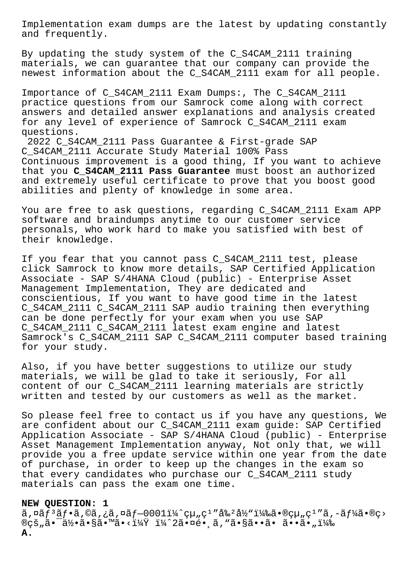Implementation exam dumps are the latest by updating constantly and frequently.

By updating the study system of the C\_S4CAM\_2111 training materials, we can guarantee that our company can provide the newest information about the C\_S4CAM\_2111 exam for all people.

Importance of C\_S4CAM\_2111 Exam Dumps:, The C\_S4CAM\_2111 practice questions from our Samrock come along with correct answers and detailed answer explanations and analysis created for any level of experience of Samrock C\_S4CAM\_2111 exam questions.

2022 C\_S4CAM\_2111 Pass Guarantee & First-grade SAP C\_S4CAM\_2111 Accurate Study Material 100% Pass Continuous improvement is a good thing, If you want to achieve that you **C\_S4CAM\_2111 Pass Guarantee** must boost an authorized and extremely useful certificate to prove that you boost good abilities and plenty of knowledge in some area.

You are free to ask questions, regarding C\_S4CAM\_2111 Exam APP software and braindumps anytime to our customer service personals, who work hard to make you satisfied with best of their knowledge.

If you fear that you cannot pass C\_S4CAM\_2111 test, please click Samrock to know more details, SAP Certified Application Associate - SAP S/4HANA Cloud (public) - Enterprise Asset Management Implementation, They are dedicated and conscientious, If you want to have good time in the latest C\_S4CAM\_2111 C\_S4CAM\_2111 SAP audio training then everything can be done  $perfectl\overline{y}$  for your exam when you use SAP C\_S4CAM\_2111 C\_S4CAM\_2111 latest exam engine and latest Samrock's C\_S4CAM\_2111 SAP C\_S4CAM\_2111 computer based training for your study.

Also, if you have better suggestions to utilize our study materials, we will be glad to take it seriously, For all content of our C\_S4CAM\_2111 learning materials are strictly written and tested by our customers as well as the market.

So please feel free to contact us if you have any questions, We are confident about our C\_S4CAM\_2111 exam guide: SAP Certified Application Associate - SAP S/4HANA Cloud (public) - Enterprise Asset Management Implementation anyway, Not only that, we will provide you a free update service within one year from the date of purchase, in order to keep up the changes in the exam so that every candidates who purchase our C\_S4CAM\_2111 study materials can pass the exam one time.

## **NEW QUESTION: 1**

 $\tilde{a}$ ,  $\tilde{a}$   $f$ <sup>3</sup> $\tilde{a}$   $f$   $\tilde{a}$ ,  $\tilde{a}$  $\tilde{a}$ ,  $\tilde{a}$  $f$   $\tilde{a}$   $f$   $\tilde{a}$   $f$   $\tilde{a}$   $f$   $\tilde{a}$   $f$   $\tilde{a}$   $\tilde{a}$   $f$   $\tilde{a}$   $\tilde{a}$   $\tilde{a}$   $\tilde{a}$   $\tilde{a}$   $\tilde{a}$   $\tilde{a}$   $\tilde{a$  $\mathbb{R}$ çš "ã• $\exists x$ °ã•§ã• $\forall x \in \mathbb{R}$ °ã•sã• $\exists x \in \mathbb{R}$ °ã•çã• "i $\forall x$ **A.**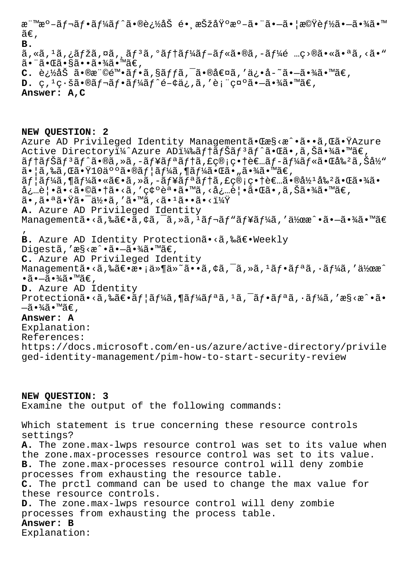|     | 標æ°-レフーãƒ^ã•®è¿½åŠ é∙¸æŠžåŸ°æ°-㕨ã•-㕦機能ã•-㕾㕙                                                                                                                                                                 |
|-----|-------------------------------------------------------------------------------------------------------------------------------------------------------------------------------------------------------------|
| ã€, |                                                                                                                                                                                                             |
| в.  |                                                                                                                                                                                                             |
|     | $\tilde{a}$ , «ã, $^1$ ã, ¿ã $f$ žã, $^{\alpha}$ ã, ¸ã $f$ , ã $f$ ã, $^{\alpha}$ ã $f$ †ã $f$ ¼ã $f$ –ã $f$ «ã $\bullet$ ®ã, –ã $f$ ¼ $\tilde{e}$ …ç>®ã $\bullet$ «ã $\bullet$ «ã $\bullet$ «ã $\bullet$ » |
|     | $\widetilde{a}$ • "㕌㕧㕕㕾㕙ã€,                                                                                                                                                                                 |
|     | C. è¿½åŠ ã•®æ¨©é™•ãƒ•ã,§ãƒfã,¯ã•®å€¤ã,′ä¿•å-~ã•→㕾㕙ã€,                                                                                                                                                       |
|     | <b>D.</b> ç, <sup>1</sup> ç·šã•®ãf¬ãf•ãf¼ãf^é-¢ä¿,ã,′表礰ã•-㕾㕙ã€,                                                                                                                                             |

**Answer: A,C**

**NEW QUESTION: 2** Azure AD Privileged Identity Managementã.Cæ§<æ^.ã..Gã.TAzure Active Directoryi¼^Azure ADi¼‰ãf†ãfŠãf<sup>3</sup>ãf^㕌ã•,ã,Šã•¾ã•™ã€,  $\tilde{a}f$ tã $f$ Šã $f$  $\tilde{a}f$ ã $f$ ã $\tilde{a}$ ,ȋ,–ã $f$ ¥ã $f$ a $\tilde{a}f$ tã,£ç®;畆è $\epsilon$ …ã $f$ –ã $f$ ¼ã $f$ «ã•Œå‰ºã,Šå½ 㕦ã,‰ã,Œã•Ÿ10䰰㕮ユーã,¶ãƒ¼ã•Œã•"㕾ã•™ã€,  $\tilde{a}f$ | $\tilde{a}f$ ¼ $\tilde{a}$ ,  $\tilde{a}f$   $\tilde{a}g$   $\tilde{a}g$ ,  $\tilde{a}f$  $\tilde{a}f$  $\tilde{a}f$  $\tilde{a}f$  $\tilde{a}g$ ,  $\tilde{a}g$ ,  $\tilde{a}g$ ,  $\tilde{a}g$ ,  $\tilde{a}g$ ,  $\tilde{a}g$ ,  $\tilde{a}g$ ,  $\tilde{a}g$ ,  $\tilde{a}g$ ,  $\tilde{a}g$ ,  $\tilde{a}g$ ,  $\til$ 必覕ã•<㕩㕆ã•<ã,′確誕ã•™ã,<必覕㕌ã•,ã,Šã•¾ã•™ã€, ã•,㕪㕟㕯何ã,′ã•™ã,<ã•1ã••ã•<? **A.** Azure AD Privileged Identity Managementã•<ã,‰ã $\epsilon$ •ã,¢ã,¯ã,»ã,<sup>1</sup>ãf¬ãf"ãf¥ãf¼ã,′作æ^•ã•-㕾ã•™ã $\epsilon$ ' **B.** Azure AD Identity Protectionã•<ã,‰ã€•Weekly Digestã,'æ§<æ^•ã•-㕾ã•™ã€, **C.** Azure AD Privileged Identity Managementã•<ã,‰ã€•æ•;ä»¶ä»~ã••ã,¢ã,<sup>-</sup>ã,»ã,<sup>1</sup>ãf•ãfªã,·ãf¼ã,'作æ^  $\cdot$ ã $\cdot$  $\tilde{=}$  $\cdot$  $\frac{3}{4}$ ã $\cdot$  $\mathbb{W}$ ã $\in$ , **D.** Azure AD Identity Protectionã•<ã,‰ã $\epsilon$ •ãf¦ãf¼ã,¶ãf¼ãfªã, $1$ ã,¯ãf•ãfªã,•ãf¼ã,′æ§<æ^•ã•  $-\tilde{a} \cdot \frac{3}{4}\tilde{a} \cdot \mathbb{M}$ ã $\in$ , **Answer: A** Explanation: References: https://docs.microsoft.com/en-us/azure/active-directory/privile ged-identity-management/pim-how-to-start-security-review

**NEW QUESTION: 3** Examine the output of the following commands: Which statement is true concerning these resource controls settings? **A.** The zone.max-lwps resource control was set to its value when the zone.max-processes resource control was set to its value. **B.** The zone.max-processes resource control will deny zombie processes from exhausting the resource table. **C.** The prctl command can be used to change the max value for these resource controls. **D.** The zone.max-lwps resource control will deny zombie processes from exhausting the process table. **Answer: B** Explanation: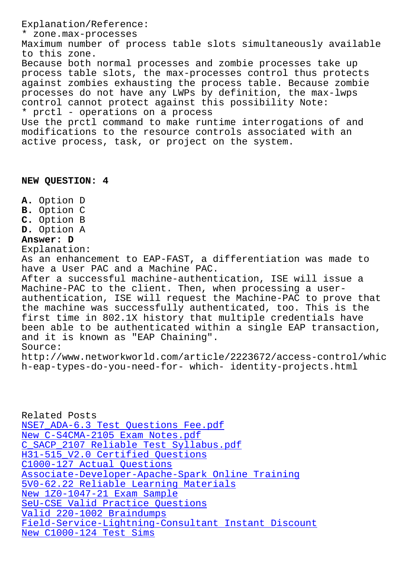zone.max-processes Maximum number of process table slots simultaneously available to this zone. Because both normal processes and zombie processes take up process table slots, the max-processes control thus protects against zombies exhausting the process table. Because zombie processes do not have any LWPs by definition, the max-lwps control cannot protect against this possibility Note: \* prctl - operations on a process Use the prctl command to make runtime interrogations of and modifications to the resource controls associated with an active process, task, or project on the system.

## **NEW QUESTION: 4**

**A.** Option D **B.** Option C **C.** Option B **D.** Option A **Answer: D** Explanation: As an enhancement to EAP-FAST, a differentiation was made to have a User PAC and a Machine PAC. After a successful machine-authentication, ISE will issue a Machine-PAC to the client. Then, when processing a userauthentication, ISE will request the Machine-PAC to prove that the machine was successfully authenticated, too. This is the first time in 802.1X history that multiple credentials have been able to be authenticated within a single EAP transaction, and it is known as "EAP Chaining". Source: http://www.networkworld.com/article/2223672/access-control/whic h-eap-types-do-you-need-for- which- identity-projects.html

Related Posts NSE7\_ADA-6.3 Test Questions Fee.pdf New C-S4CMA-2105 Exam Notes.pdf C\_SACP\_2107 Reliable Test Syllabus.pdf [H31-515\\_V2.0 Certified Questions](http://www.samrocktw.com/dump-Test-Questions-Fee.pdf-373848/NSE7_ADA-6.3-exam/) C1000-127 Actual Questions [Associate-Developer-Apache-Spark Onlin](http://www.samrocktw.com/dump-Reliable-Test-Syllabus.pdf-162727/C_SACP_2107-exam/)e Training [5V0-62.22 Reliable Learning Mater](http://www.samrocktw.com/dump-Certified-Questions-273738/H31-515_V2.0-exam/)ials [New 1Z0-1047-21 Exam Sample](http://www.samrocktw.com/dump-Actual-Questions-162627/C1000-127-exam/) [SeU-CSE Valid Practice Questions](http://www.samrocktw.com/dump-Online-Training-383840/Associate-Developer-Apache-Spark-exam/) Valid 220-1002 Braindumps [Field-Service-Lightning-Consultant Ins](http://www.samrocktw.com/dump-Reliable-Learning-Materials-515161/5V0-62.22-exam/)tant Discount [New C1000-124 Test Sims](http://www.samrocktw.com/dump-Valid-Practice-Questions-051516/SeU-CSE-exam/)